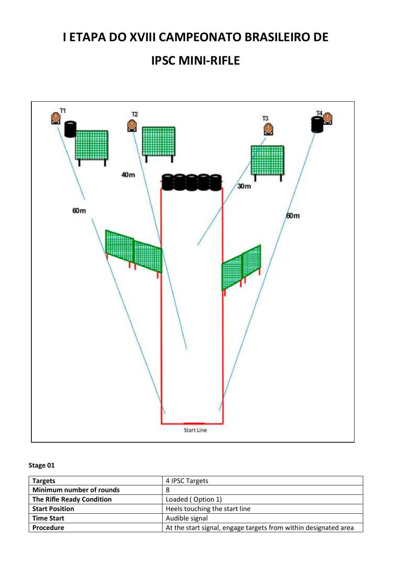### IPSC MINI-RIFLE



| <b>Targets</b>            | 4 IPSC Targets                                                  |
|---------------------------|-----------------------------------------------------------------|
| Minimum number of rounds  | 8                                                               |
| The Rifle Ready Condition | Loaded (Option 1)                                               |
| <b>Start Position</b>     | Heels touching the start line                                   |
| <b>Time Start</b>         | Audible signal                                                  |
| Procedure                 | At the start signal, engage targets from within designated area |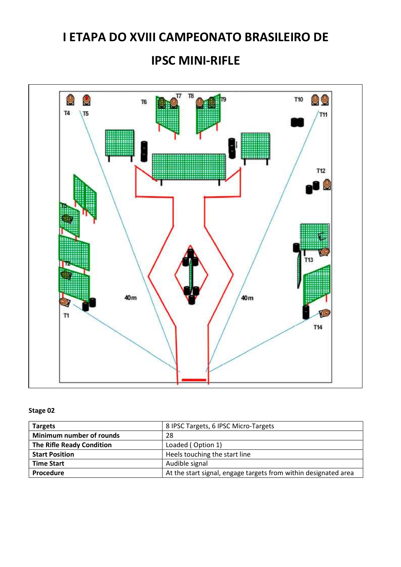#### IPSC MINI-RIFLE



| <b>Targets</b>                   | 8 IPSC Targets, 6 IPSC Micro-Targets                            |
|----------------------------------|-----------------------------------------------------------------|
| Minimum number of rounds         | 28                                                              |
| <b>The Rifle Ready Condition</b> | Loaded (Option 1)                                               |
| <b>Start Position</b>            | Heels touching the start line                                   |
| <b>Time Start</b>                | Audible signal                                                  |
| Procedure                        | At the start signal, engage targets from within designated area |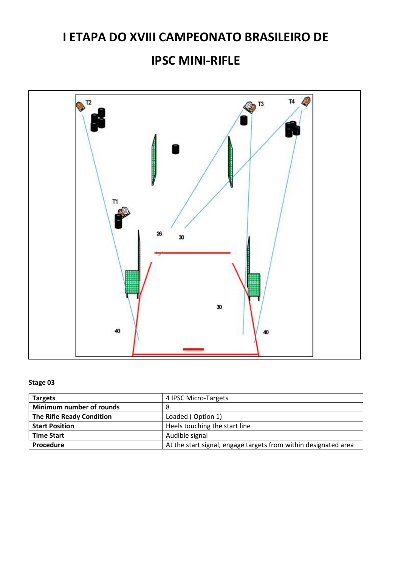### IPSC MINI-RIFLE



| <b>Targets</b>                   | 4 IPSC Micro-Targets                                            |
|----------------------------------|-----------------------------------------------------------------|
| Minimum number of rounds         | 8                                                               |
| <b>The Rifle Ready Condition</b> | Loaded (Option 1)                                               |
| <b>Start Position</b>            | Heels touching the start line                                   |
| <b>Time Start</b>                | Audible signal                                                  |
| Procedure                        | At the start signal, engage targets from within designated area |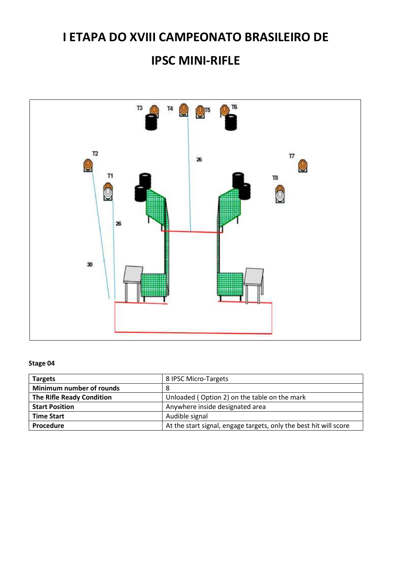### IPSC MINI-RIFLE



| <b>Targets</b>                   | 8 IPSC Micro-Targets                                              |
|----------------------------------|-------------------------------------------------------------------|
| Minimum number of rounds         | 8                                                                 |
| <b>The Rifle Ready Condition</b> | Unloaded (Option 2) on the table on the mark                      |
| <b>Start Position</b>            | Anywhere inside designated area                                   |
| <b>Time Start</b>                | Audible signal                                                    |
| Procedure                        | At the start signal, engage targets, only the best hit will score |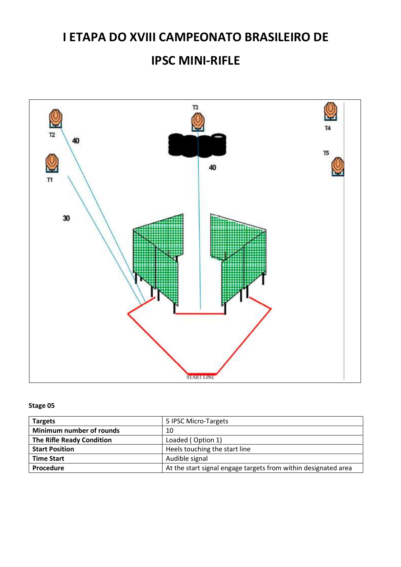### IPSC MINI-RIFLE



| <b>Targets</b>                   | 5 IPSC Micro-Targets                                           |
|----------------------------------|----------------------------------------------------------------|
| Minimum number of rounds         | 10                                                             |
| <b>The Rifle Ready Condition</b> | Loaded (Option 1)                                              |
| <b>Start Position</b>            | Heels touching the start line                                  |
| <b>Time Start</b>                | Audible signal                                                 |
| Procedure                        | At the start signal engage targets from within designated area |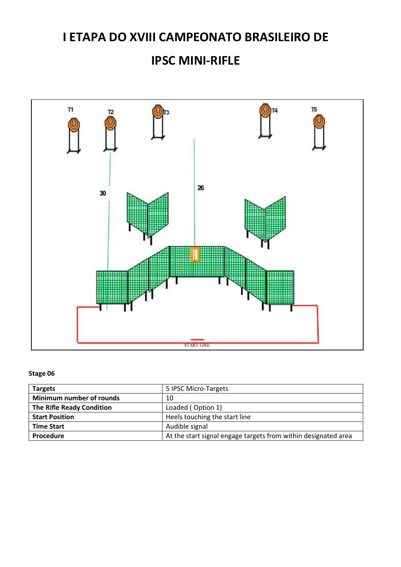# I ETAPA DO XVIII CAMPEONATO BRASILEIRO DE IPSC MINI-RIFLE



| <b>Targets</b>                   | 5 IPSC Micro-Targets                                           |
|----------------------------------|----------------------------------------------------------------|
| Minimum number of rounds         | 10                                                             |
| <b>The Rifle Ready Condition</b> | Loaded (Option 1)                                              |
| <b>Start Position</b>            | Heels touching the start line                                  |
| <b>Time Start</b>                | Audible signal                                                 |
| <b>Procedure</b>                 | At the start signal engage targets from within designated area |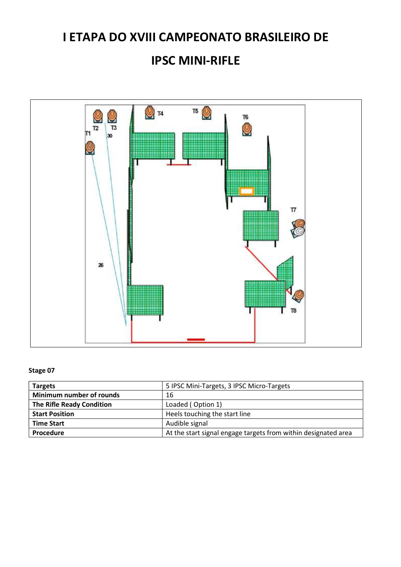### IPSC MINI-RIFLE



| <b>Targets</b>                   | 5 IPSC Mini-Targets, 3 IPSC Micro-Targets                      |
|----------------------------------|----------------------------------------------------------------|
| Minimum number of rounds         | 16                                                             |
| <b>The Rifle Ready Condition</b> | Loaded (Option 1)                                              |
| <b>Start Position</b>            | Heels touching the start line                                  |
| <b>Time Start</b>                | Audible signal                                                 |
| Procedure                        | At the start signal engage targets from within designated area |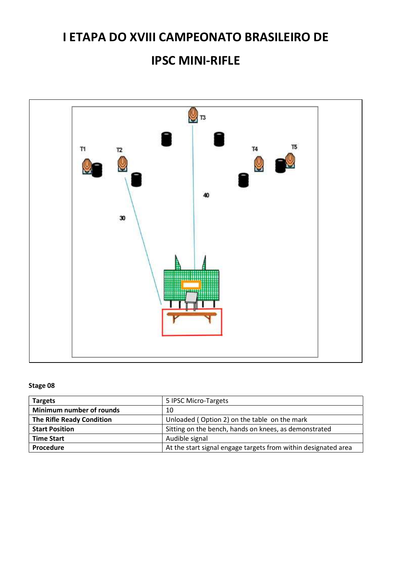#### IPSC MINI-RIFLE



| <b>Targets</b>                   | 5 IPSC Micro-Targets                                           |
|----------------------------------|----------------------------------------------------------------|
| Minimum number of rounds         | 10                                                             |
| <b>The Rifle Ready Condition</b> | Unloaded (Option 2) on the table on the mark                   |
| <b>Start Position</b>            | Sitting on the bench, hands on knees, as demonstrated          |
| <b>Time Start</b>                | Audible signal                                                 |
| Procedure                        | At the start signal engage targets from within designated area |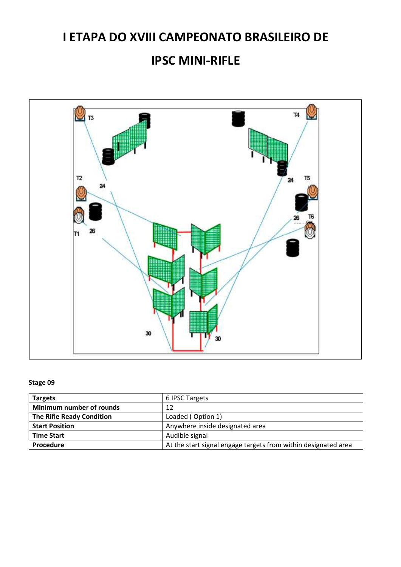#### IPSC MINI-RIFLE



| <b>Targets</b>                   | 6 IPSC Targets                                                 |
|----------------------------------|----------------------------------------------------------------|
| Minimum number of rounds         | 12                                                             |
| <b>The Rifle Ready Condition</b> | Loaded (Option 1)                                              |
| <b>Start Position</b>            | Anywhere inside designated area                                |
| <b>Time Start</b>                | Audible signal                                                 |
| Procedure                        | At the start signal engage targets from within designated area |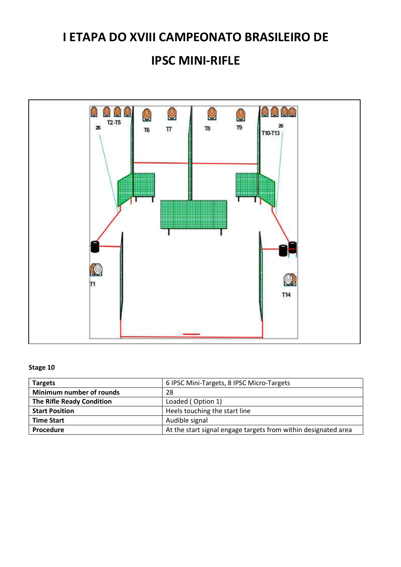### IPSC MINI-RIFLE



| <b>Targets</b>                   | 6 IPSC Mini-Targets, 8 IPSC Micro-Targets                      |
|----------------------------------|----------------------------------------------------------------|
| Minimum number of rounds         | 28                                                             |
| <b>The Rifle Ready Condition</b> | Loaded (Option 1)                                              |
| <b>Start Position</b>            | Heels touching the start line                                  |
| <b>Time Start</b>                | Audible signal                                                 |
| Procedure                        | At the start signal engage targets from within designated area |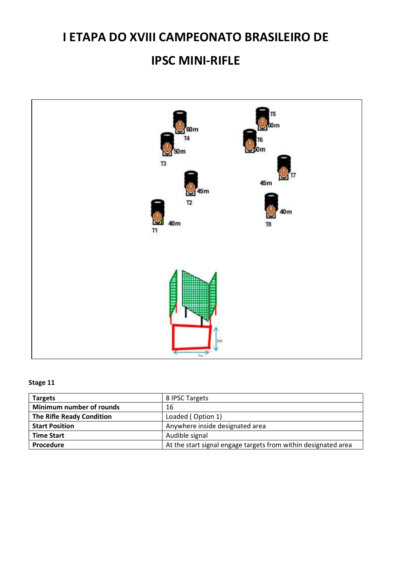### IPSC MINI-RIFLE



| <b>Targets</b>            | 8 IPSC Targets                                                 |
|---------------------------|----------------------------------------------------------------|
| Minimum number of rounds  | 16                                                             |
| The Rifle Ready Condition | Loaded (Option 1)                                              |
| <b>Start Position</b>     | Anywhere inside designated area                                |
| <b>Time Start</b>         | Audible signal                                                 |
| Procedure                 | At the start signal engage targets from within designated area |